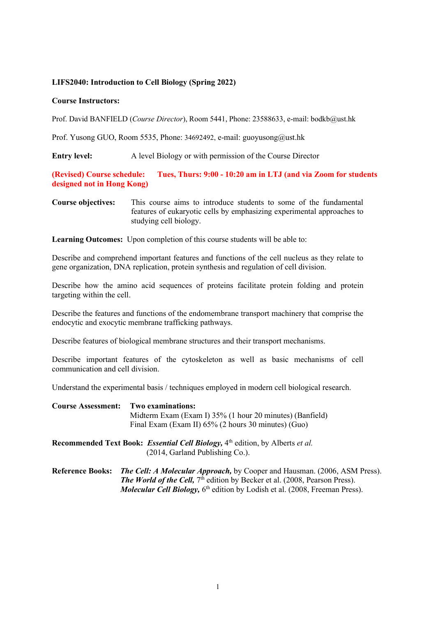## **LIFS2040: Introduction to Cell Biology (Spring 2022)**

## **Course Instructors:**

Prof. David BANFIELD (*Course Director*), Room 5441, Phone: 23588633, e-mail: bodkb@ust.hk

Prof. Yusong GUO, Room 5535, Phone: 34692492, e-mail: guoyusong@ust.hk

**Entry level:** A level Biology or with permission of the Course Director

**(Revised) Course schedule: Tues, Thurs: 9:00 - 10:20 am in LTJ (and via Zoom for students designed not in Hong Kong)**

**Course objectives:** This course aims to introduce students to some of the fundamental features of eukaryotic cells by emphasizing experimental approaches to studying cell biology.

**Learning Outcomes:** Upon completion of this course students will be able to:

Describe and comprehend important features and functions of the cell nucleus as they relate to gene organization, DNA replication, protein synthesis and regulation of cell division.

Describe how the amino acid sequences of proteins facilitate protein folding and protein targeting within the cell.

Describe the features and functions of the endomembrane transport machinery that comprise the endocytic and exocytic membrane trafficking pathways.

Describe features of biological membrane structures and their transport mechanisms.

Describe important features of the cytoskeleton as well as basic mechanisms of cell communication and cell division.

Understand the experimental basis / techniques employed in modern cell biological research.

**Course Assessment: Two examinations:**

Midterm Exam (Exam I) 35% (1 hour 20 minutes) (Banfield) Final Exam (Exam II) 65% (2 hours 30 minutes) (Guo)

**Recommended Text Book:** *Essential Cell Biology,* 4th edition, by Alberts *et al.* (2014, Garland Publishing Co.).

**Reference Books:** *The Cell: A Molecular Approach,* by Cooper and Hausman. (2006, ASM Press). *The World of the Cell,*  $7<sup>th</sup>$  edition by Becker et al. (2008, Pearson Press). *Molecular Cell Biology, 6th edition by Lodish et al. (2008, Freeman Press).*